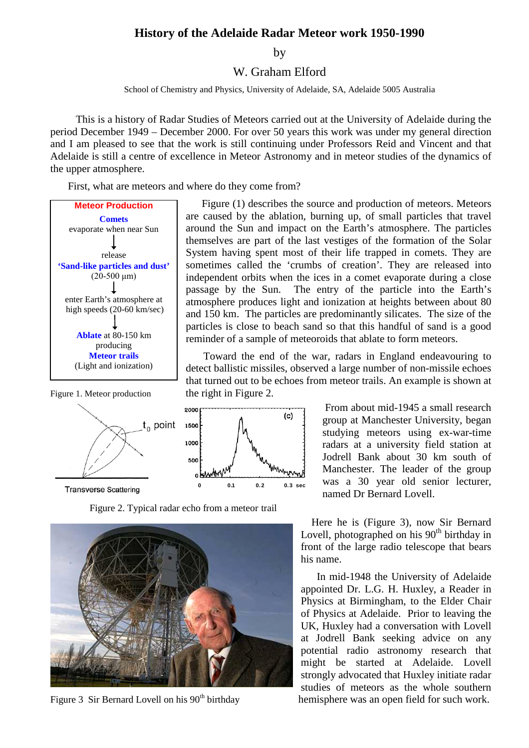## **History of the Adelaide Radar Meteor work 1950-1990**

by

W. Graham Elford

School of Chemistry and Physics, University of Adelaide, SA, Adelaide 5005 Australia

This is a history of Radar Studies of Meteors carried out at the University of Adelaide during the period December 1949 – December 2000. For over 50 years this work was under my general direction and I am pleased to see that the work is still continuing under Professors Reid and Vincent and that Adelaide is still a centre of excellence in Meteor Astronomy and in meteor studies of the dynamics of the upper atmosphere.

First, what are meteors and where do they come from?





**Transverse Scattering** 

Figure 2. Typical radar echo from a meteor trail



Figure (1) describes the source and production of meteors. Meteors are caused by the ablation, burning up, of small particles that travel around the Sun and impact on the Earth's atmosphere. The particles themselves are part of the last vestiges of the formation of the Solar System having spent most of their life trapped in comets. They are sometimes called the 'crumbs of creation'. They are released into independent orbits when the ices in a comet evaporate during a close passage by the Sun. The entry of the particle into the Earth's atmosphere produces light and ionization at heights between about 80 and 150 km. The particles are predominantly silicates. The size of the particles is close to beach sand so that this handful of sand is a good reminder of a sample of meteoroids that ablate to form meteors.

Toward the end of the war, radars in England endeavouring to detect ballistic missiles, observed a large number of non-missile echoes that turned out to be echoes from meteor trails. An example is shown at Figure 1. Meteor production the right in Figure 2.



From about mid-1945 a small research group at Manchester University, began studying meteors using ex-war-time radars at a university field station at Jodrell Bank about 30 km south of Manchester. The leader of the group was a 30 year old senior lecturer, named Dr Bernard Lovell.

Here he is (Figure 3), now Sir Bernard Lovell, photographed on his  $90<sup>th</sup>$  birthday in front of the large radio telescope that bears his name.

In mid-1948 the University of Adelaide appointed Dr. L.G. H. Huxley, a Reader in Physics at Birmingham, to the Elder Chair of Physics at Adelaide. Prior to leaving the UK, Huxley had a conversation with Lovell at Jodrell Bank seeking advice on any potential radio astronomy research that might be started at Adelaide. Lovell strongly advocated that Huxley initiate radar studies of meteors as the whole southern Figure 3 Sir Bernard Lovell on his 90<sup>th</sup> birthday hemisphere was an open field for such work.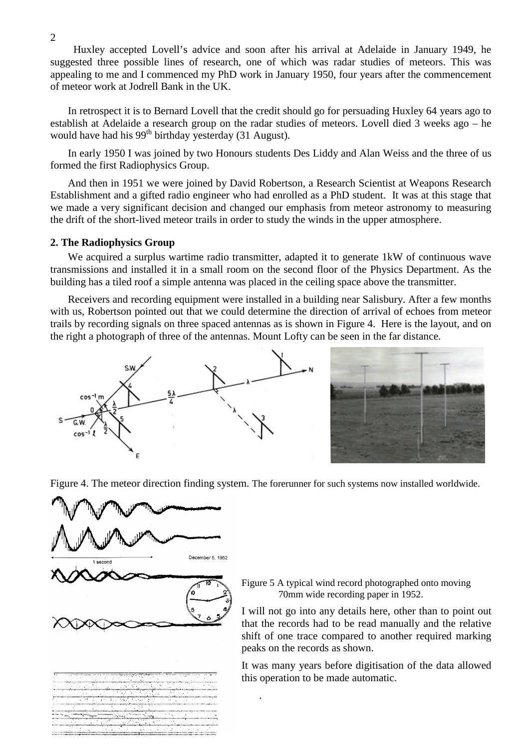Huxley accepted Lovell's advice and soon after his arrival at Adelaide in January 1949, he suggested three possible lines of research, one of which was radar studies of meteors. This was appealing to me and I commenced my PhD work in January 1950, four years after the commencement of meteor work at Jodrell Bank in the UK.

In retrospect it is to Bernard Lovell that the credit should go for persuading Huxley 64 years ago to establish at Adelaide a research group on the radar studies of meteors. Lovell died 3 weeks ago – he would have had his  $99<sup>th</sup>$  birthday yesterday (31 August).

In early 1950 I was joined by two Honours students Des Liddy and Alan Weiss and the three of us formed the first Radiophysics Group.

And then in 1951 we were joined by David Robertson, a Research Scientist at Weapons Research Establishment and a gifted radio engineer who had enrolled as a PhD student. It was at this stage that we made a very significant decision and changed our emphasis from meteor astronomy to measuring the drift of the short-lived meteor trails in order to study the winds in the upper atmosphere.

#### **2. The Radiophysics Group**

We acquired a surplus wartime radio transmitter, adapted it to generate 1kW of continuous wave transmissions and installed it in a small room on the second floor of the Physics Department. As the building has a tiled roof a simple antenna was placed in the ceiling space above the transmitter.

Receivers and recording equipment were installed in a building near Salisbury. After a few months with us, Robertson pointed out that we could determine the direction of arrival of echoes from meteor trails by recording signals on three spaced antennas as is shown in Figure 4. Here is the layout, and on the right a photograph of three of the antennas. Mount Lofty can be seen in the far distance.





Figure 4. The meteor direction finding system. The forerunner for such systems now installed worldwide.

.



Figure 5 A typical wind record photographed onto moving 70mm wide recording paper in 1952.

I will not go into any details here, other than to point out that the records had to be read manually and the relative shift of one trace compared to another required marking peaks on the records as shown.

It was many years before digitisation of the data allowed this operation to be made automatic.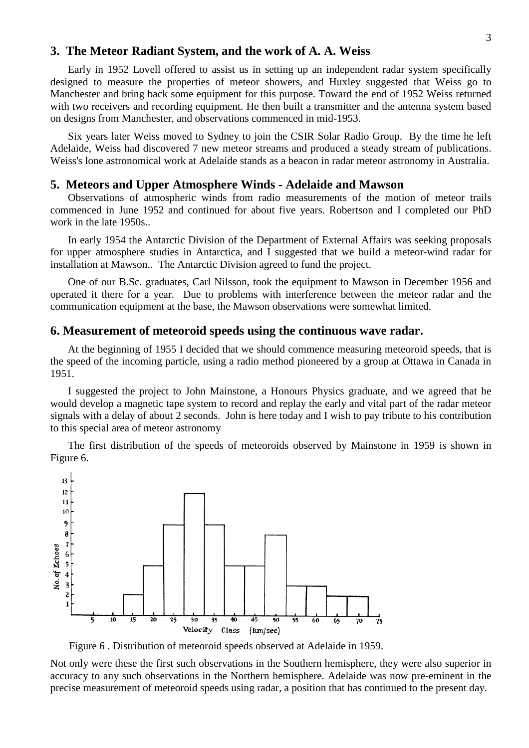#### **3. The Meteor Radiant System, and the work of A. A. Weiss**

Early in 1952 Lovell offered to assist us in setting up an independent radar system specifically designed to measure the properties of meteor showers, and Huxley suggested that Weiss go to Manchester and bring back some equipment for this purpose. Toward the end of 1952 Weiss returned with two receivers and recording equipment. He then built a transmitter and the antenna system based on designs from Manchester, and observations commenced in mid-1953.

Six years later Weiss moved to Sydney to join the CSIR Solar Radio Group. By the time he left Adelaide, Weiss had discovered 7 new meteor streams and produced a steady stream of publications. Weiss's lone astronomical work at Adelaide stands as a beacon in radar meteor astronomy in Australia.

#### **5. Meteors and Upper Atmosphere Winds - Adelaide and Mawson**

Observations of atmospheric winds from radio measurements of the motion of meteor trails commenced in June 1952 and continued for about five years. Robertson and I completed our PhD work in the late 1950s..

In early 1954 the Antarctic Division of the Department of External Affairs was seeking proposals for upper atmosphere studies in Antarctica, and I suggested that we build a meteor-wind radar for installation at Mawson.. The Antarctic Division agreed to fund the project.

One of our B.Sc. graduates, Carl Nilsson, took the equipment to Mawson in December 1956 and operated it there for a year. Due to problems with interference between the meteor radar and the communication equipment at the base, the Mawson observations were somewhat limited.

#### **6. Measurement of meteoroid speeds using the continuous wave radar.**

At the beginning of 1955 I decided that we should commence measuring meteoroid speeds, that is the speed of the incoming particle, using a radio method pioneered by a group at Ottawa in Canada in 1951.

I suggested the project to John Mainstone, a Honours Physics graduate, and we agreed that he would develop a magnetic tape system to record and replay the early and vital part of the radar meteor signals with a delay of about 2 seconds. John is here today and I wish to pay tribute to his contribution to this special area of meteor astronomy

The first distribution of the speeds of meteoroids observed by Mainstone in 1959 is shown in Figure 6.



Figure 6 . Distribution of meteoroid speeds observed at Adelaide in 1959.

Not only were these the first such observations in the Southern hemisphere, they were also superior in accuracy to any such observations in the Northern hemisphere. Adelaide was now pre-eminent in the precise measurement of meteoroid speeds using radar, a position that has continued to the present day.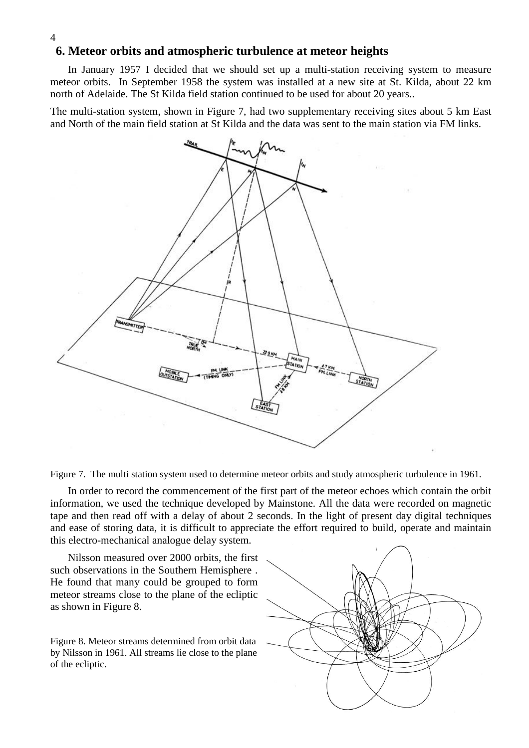# **6. Meteor orbits and atmospheric turbulence at meteor heights**

4

In January 1957 I decided that we should set up a multi-station receiving system to measure meteor orbits. In September 1958 the system was installed at a new site at St. Kilda, about 22 km north of Adelaide. The St Kilda field station continued to be used for about 20 years..

The multi-station system, shown in Figure 7, had two supplementary receiving sites about 5 km East and North of the main field station at St Kilda and the data was sent to the main station via FM links.



Figure 7. The multi station system used to determine meteor orbits and study atmospheric turbulence in 1961.

In order to record the commencement of the first part of the meteor echoes which contain the orbit information, we used the technique developed by Mainstone. All the data were recorded on magnetic tape and then read off with a delay of about 2 seconds. In the light of present day digital techniques and ease of storing data, it is difficult to appreciate the effort required to build, operate and maintain this electro-mechanical analogue delay system.

Nilsson measured over 2000 orbits, the first such observations in the Southern Hemisphere . He found that many could be grouped to form meteor streams close to the plane of the ecliptic as shown in Figure 8.

Figure 8. Meteor streams determined from orbit data by Nilsson in 1961. All streams lie close to the plane of the ecliptic.

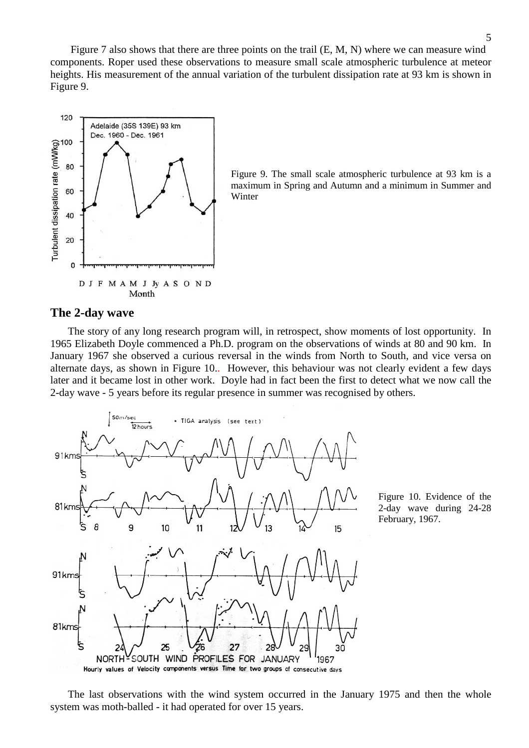Figure 7 also shows that there are three points on the trail  $(E, M, N)$  where we can measure wind components. Roper used these observations to measure small scale atmospheric turbulence at meteor heights. His measurement of the annual variation of the turbulent dissipation rate at 93 km is shown in Figure 9.



Figure 9. The small scale atmospheric turbulence at 93 km is a maximum in Spring and Autumn and a minimum in Summer and Winter

#### **The 2-day wave**

The story of any long research program will, in retrospect, show moments of lost opportunity. In 1965 Elizabeth Doyle commenced a Ph.D. program on the observations of winds at 80 and 90 km. In January 1967 she observed a curious reversal in the winds from North to South, and vice versa on alternate days, as shown in Figure 10.. However, this behaviour was not clearly evident a few days later and it became lost in other work. Doyle had in fact been the first to detect what we now call the 2-day wave - 5 years before its regular presence in summer was recognised by others.



Figure 10. Evidence of the 2-day wave during 24-28 February, 1967.

The last observations with the wind system occurred in the January 1975 and then the whole system was moth-balled - it had operated for over 15 years.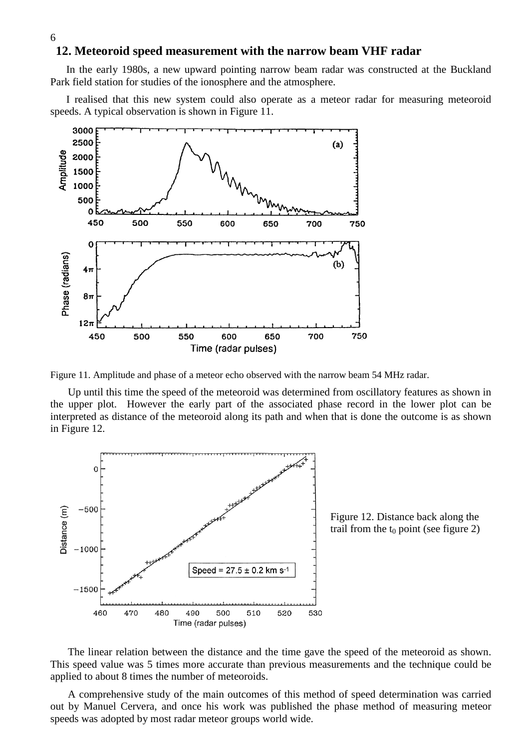#### **12. Meteoroid speed measurement with the narrow beam VHF radar**

In the early 1980s, a new upward pointing narrow beam radar was constructed at the Buckland Park field station for studies of the ionosphere and the atmosphere.

I realised that this new system could also operate as a meteor radar for measuring meteoroid speeds. A typical observation is shown in Figure 11.



Figure 11. Amplitude and phase of a meteor echo observed with the narrow beam 54 MHz radar.

Up until this time the speed of the meteoroid was determined from oscillatory features as shown in the upper plot. However the early part of the associated phase record in the lower plot can be interpreted as distance of the meteoroid along its path and when that is done the outcome is as shown in Figure 12.



Figure 12. Distance back along the trail from the  $t_0$  point (see figure 2)

The linear relation between the distance and the time gave the speed of the meteoroid as shown. This speed value was 5 times more accurate than previous measurements and the technique could be applied to about 8 times the number of meteoroids.

A comprehensive study of the main outcomes of this method of speed determination was carried out by Manuel Cervera, and once his work was published the phase method of measuring meteor speeds was adopted by most radar meteor groups world wide.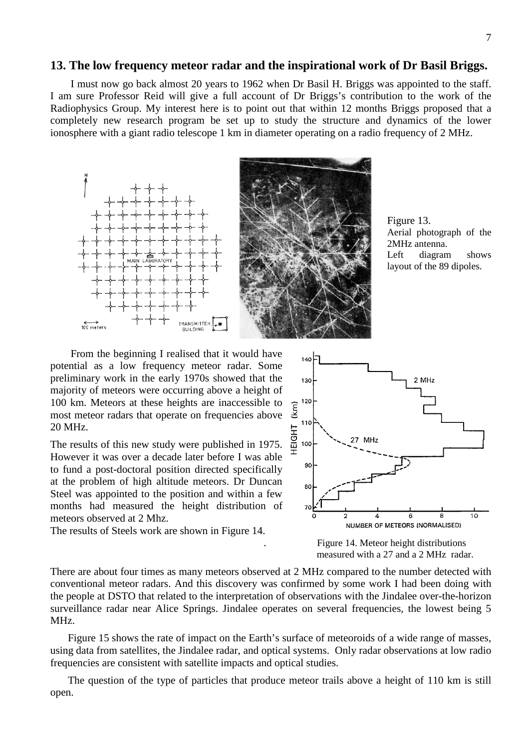#### **13. The low frequency meteor radar and the inspirational work of Dr Basil Briggs.**

I must now go back almost 20 years to 1962 when Dr Basil H. Briggs was appointed to the staff. I am sure Professor Reid will give a full account of Dr Briggs's contribution to the work of the Radiophysics Group. My interest here is to point out that within 12 months Briggs proposed that a completely new research program be set up to study the structure and dynamics of the lower ionosphere with a giant radio telescope 1 km in diameter operating on a radio frequency of 2 MHz.





From the beginning I realised that it would have potential as a low frequency meteor radar. Some preliminary work in the early 1970s showed that the majority of meteors were occurring above a height of 100 km. Meteors at these heights are inaccessible to  $\epsilon$ <sup>120</sup> most meteor radars that operate on frequencies above most meteor radars that operate on frequencies above 20 MHz.

The results of this new study were published in 1975. 20 MHz.<br>The results of this new study were published in 1975.  $\frac{10}{4}$ <br>However it was over a decade later before I was able to fund a post-doctoral position directed specifically at the problem of high altitude meteors. Dr Duncan Steel was appointed to the position and within a few months had measured the height distribution of meteors observed at 2 Mhz.

The results of Steels work are shown in Figure 14.



. Figure 14. Meteor height distributions measured with a 27 and a 2 MHz radar.

There are about four times as many meteors observed at 2 MHz compared to the number detected with conventional meteor radars. And this discovery was confirmed by some work I had been doing with the people at DSTO that related to the interpretation of observations with the Jindalee over-the-horizon surveillance radar near Alice Springs. Jindalee operates on several frequencies, the lowest being 5 MHz.

Figure 15 shows the rate of impact on the Earth's surface of meteoroids of a wide range of masses, using data from satellites, the Jindalee radar, and optical systems. Only radar observations at low radio frequencies are consistent with satellite impacts and optical studies.

The question of the type of particles that produce meteor trails above a height of 110 km is still open.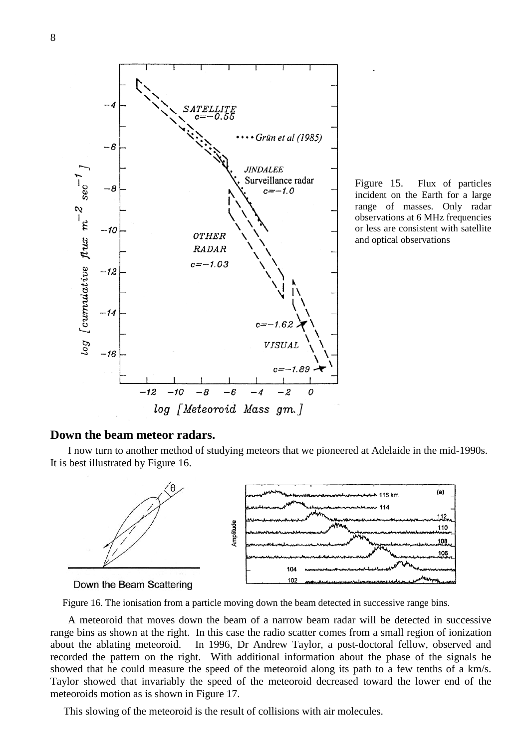



.

# **Down the beam meteor radars.**

I now turn to another method of studying meteors that we pioneered at Adelaide in the mid-1990s. It is best illustrated by Figure 16.





Figure 16. The ionisation from a particle moving down the beam detected in successive range bins.

A meteoroid that moves down the beam of a narrow beam radar will be detected in successive range bins as shown at the right. In this case the radio scatter comes from a small region of ionization about the ablating meteoroid. In 1996, Dr Andrew Taylor, a post-doctoral fellow, observed and recorded the pattern on the right. With additional information about the phase of the signals he showed that he could measure the speed of the meteoroid along its path to a few tenths of a km/s. Taylor showed that invariably the speed of the meteoroid decreased toward the lower end of the meteoroids motion as is shown in Figure 17.

This slowing of the meteoroid is the result of collisions with air molecules.